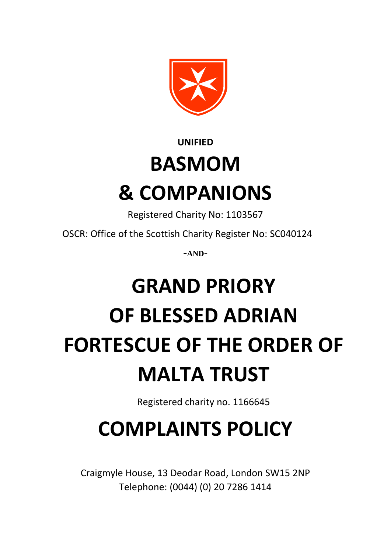

### **UNIFIED BASMOM & COMPANIONS**

Registered Charity No: 1103567

OSCR: Office of the Scottish Charity Register No: SC040124

-**AND**-

# **GRAND PRIORY OF BLESSED ADRIAN FORTESCUE OF THE ORDER OF MALTA TRUST**

Registered charity no. 1166645

## **COMPLAINTS POLICY**

Craigmyle House, 13 Deodar Road, London SW15 2NP Telephone: (0044) (0) 20 7286 1414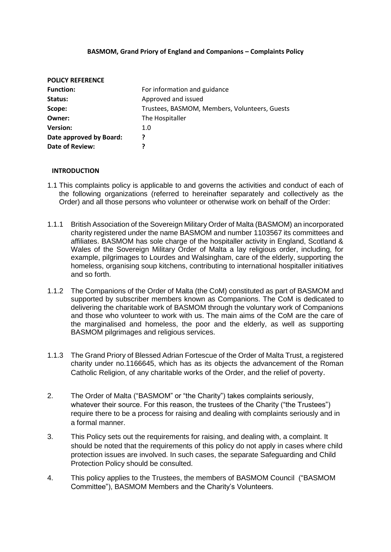#### **BASMOM, Grand Priory of England and Companions – Complaints Policy**

| For information and guidance                  |
|-----------------------------------------------|
| Approved and issued                           |
| Trustees, BASMOM, Members, Volunteers, Guests |
| The Hospitaller                               |
| 1.0                                           |
| ?                                             |
| 7                                             |
|                                               |

#### **INTRODUCTION**

- 1.1 This complaints policy is applicable to and governs the activities and conduct of each of the following organizations (referred to hereinafter separately and collectively as the Order) and all those persons who volunteer or otherwise work on behalf of the Order:
- 1.1.1 British Association of the Sovereign Military Order of Malta (BASMOM) an incorporated charity registered under the name BASMOM and number 1103567 its committees and affiliates. BASMOM has sole charge of the hospitaller activity in England, Scotland & Wales of the Sovereign Military Order of Malta a lay religious order, including, for example, pilgrimages to Lourdes and Walsingham, care of the elderly, supporting the homeless, organising soup kitchens, contributing to international hospitaller initiatives and so forth.
- 1.1.2 The Companions of the Order of Malta (the CoM) constituted as part of BASMOM and supported by subscriber members known as Companions. The CoM is dedicated to delivering the charitable work of BASMOM through the voluntary work of Companions and those who volunteer to work with us. The main aims of the CoM are the care of the marginalised and homeless, the poor and the elderly, as well as supporting BASMOM pilgrimages and religious services.
- 1.1.3 The Grand Priory of Blessed Adrian Fortescue of the Order of Malta Trust, a registered charity under no.1166645, which has as its objects the advancement of the Roman Catholic Religion, of any charitable works of the Order, and the relief of poverty.
- 2. The Order of Malta ("BASMOM" or "the Charity") takes complaints seriously, whatever their source. For this reason, the trustees of the Charity ("the Trustees") require there to be a process for raising and dealing with complaints seriously and in a formal manner.
- 3. This Policy sets out the requirements for raising, and dealing with, a complaint. It should be noted that the requirements of this policy do not apply in cases where child protection issues are involved. In such cases, the separate Safeguarding and Child Protection Policy should be consulted.
- 4. This policy applies to the Trustees, the members of BASMOM Council ("BASMOM Committee"), BASMOM Members and the Charity's Volunteers.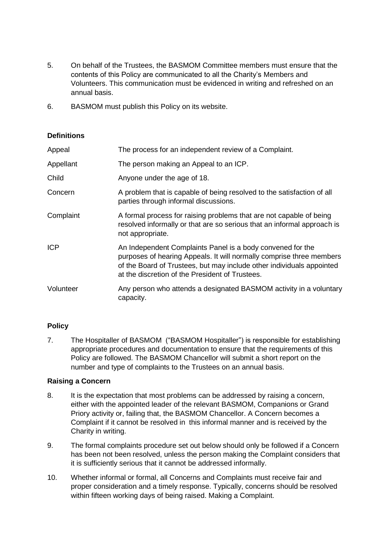- 5. On behalf of the Trustees, the BASMOM Committee members must ensure that the contents of this Policy are communicated to all the Charity's Members and Volunteers. This communication must be evidenced in writing and refreshed on an annual basis.
- 6. BASMOM must publish this Policy on its website.

#### **Definitions**

| Appeal     | The process for an independent review of a Complaint.                                                                                                                                                                                                          |
|------------|----------------------------------------------------------------------------------------------------------------------------------------------------------------------------------------------------------------------------------------------------------------|
| Appellant  | The person making an Appeal to an ICP.                                                                                                                                                                                                                         |
| Child      | Anyone under the age of 18.                                                                                                                                                                                                                                    |
| Concern    | A problem that is capable of being resolved to the satisfaction of all<br>parties through informal discussions.                                                                                                                                                |
| Complaint  | A formal process for raising problems that are not capable of being<br>resolved informally or that are so serious that an informal approach is<br>not appropriate.                                                                                             |
| <b>ICP</b> | An Independent Complaints Panel is a body convened for the<br>purposes of hearing Appeals. It will normally comprise three members<br>of the Board of Trustees, but may include other individuals appointed<br>at the discretion of the President of Trustees. |
| Volunteer  | Any person who attends a designated BASMOM activity in a voluntary<br>capacity.                                                                                                                                                                                |

#### **Policy**

7. The Hospitaller of BASMOM ("BASMOM Hospitaller") is responsible for establishing appropriate procedures and documentation to ensure that the requirements of this Policy are followed. The BASMOM Chancellor will submit a short report on the number and type of complaints to the Trustees on an annual basis.

#### **Raising a Concern**

- 8. It is the expectation that most problems can be addressed by raising a concern, either with the appointed leader of the relevant BASMOM, Companions or Grand Priory activity or, failing that, the BASMOM Chancellor. A Concern becomes a Complaint if it cannot be resolved in this informal manner and is received by the Charity in writing.
- 9. The formal complaints procedure set out below should only be followed if a Concern has been not been resolved, unless the person making the Complaint considers that it is sufficiently serious that it cannot be addressed informally.
- 10. Whether informal or formal, all Concerns and Complaints must receive fair and proper consideration and a timely response. Typically, concerns should be resolved within fifteen working days of being raised. Making a Complaint.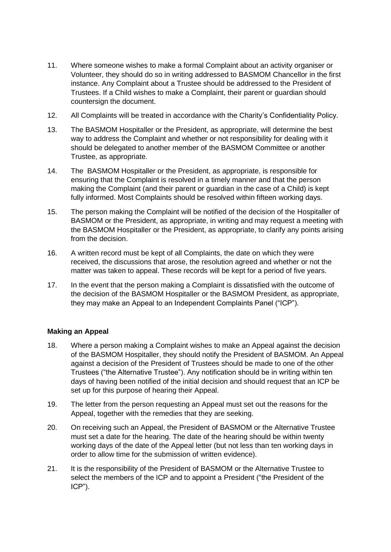- 11. Where someone wishes to make a formal Complaint about an activity organiser or Volunteer, they should do so in writing addressed to BASMOM Chancellor in the first instance. Any Complaint about a Trustee should be addressed to the President of Trustees. If a Child wishes to make a Complaint, their parent or guardian should countersign the document.
- 12. All Complaints will be treated in accordance with the Charity's Confidentiality Policy.
- 13. The BASMOM Hospitaller or the President, as appropriate, will determine the best way to address the Complaint and whether or not responsibility for dealing with it should be delegated to another member of the BASMOM Committee or another Trustee, as appropriate.
- 14. The BASMOM Hospitaller or the President, as appropriate, is responsible for ensuring that the Complaint is resolved in a timely manner and that the person making the Complaint (and their parent or guardian in the case of a Child) is kept fully informed. Most Complaints should be resolved within fifteen working days.
- 15. The person making the Complaint will be notified of the decision of the Hospitaller of BASMOM or the President, as appropriate, in writing and may request a meeting with the BASMOM Hospitaller or the President, as appropriate, to clarify any points arising from the decision.
- 16. A written record must be kept of all Complaints, the date on which they were received, the discussions that arose, the resolution agreed and whether or not the matter was taken to appeal. These records will be kept for a period of five years.
- 17. In the event that the person making a Complaint is dissatisfied with the outcome of the decision of the BASMOM Hospitaller or the BASMOM President, as appropriate, they may make an Appeal to an Independent Complaints Panel ("ICP").

#### **Making an Appeal**

- 18. Where a person making a Complaint wishes to make an Appeal against the decision of the BASMOM Hospitaller, they should notify the President of BASMOM. An Appeal against a decision of the President of Trustees should be made to one of the other Trustees ("the Alternative Trustee"). Any notification should be in writing within ten days of having been notified of the initial decision and should request that an ICP be set up for this purpose of hearing their Appeal.
- 19. The letter from the person requesting an Appeal must set out the reasons for the Appeal, together with the remedies that they are seeking.
- 20. On receiving such an Appeal, the President of BASMOM or the Alternative Trustee must set a date for the hearing. The date of the hearing should be within twenty working days of the date of the Appeal letter (but not less than ten working days in order to allow time for the submission of written evidence).
- 21. It is the responsibility of the President of BASMOM or the Alternative Trustee to select the members of the ICP and to appoint a President ("the President of the ICP").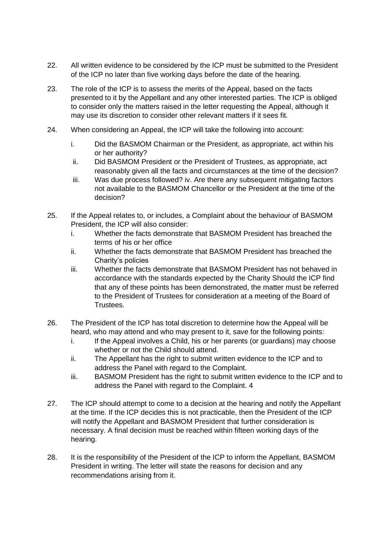- 22. All written evidence to be considered by the ICP must be submitted to the President of the ICP no later than five working days before the date of the hearing.
- 23. The role of the ICP is to assess the merits of the Appeal, based on the facts presented to it by the Appellant and any other interested parties. The ICP is obliged to consider only the matters raised in the letter requesting the Appeal, although it may use its discretion to consider other relevant matters if it sees fit.
- 24. When considering an Appeal, the ICP will take the following into account:
	- i. Did the BASMOM Chairman or the President, as appropriate, act within his or her authority?
	- ii. Did BASMOM President or the President of Trustees, as appropriate, act reasonably given all the facts and circumstances at the time of the decision?
	- iii. Was due process followed? iv. Are there any subsequent mitigating factors not available to the BASMOM Chancellor or the President at the time of the decision?
- 25. If the Appeal relates to, or includes, a Complaint about the behaviour of BASMOM President, the ICP will also consider:
	- i. Whether the facts demonstrate that BASMOM President has breached the terms of his or her office
	- ii. Whether the facts demonstrate that BASMOM President has breached the Charity's policies
	- iii. Whether the facts demonstrate that BASMOM President has not behaved in accordance with the standards expected by the Charity Should the ICP find that any of these points has been demonstrated, the matter must be referred to the President of Trustees for consideration at a meeting of the Board of Trustees.
- 26. The President of the ICP has total discretion to determine how the Appeal will be heard, who may attend and who may present to it, save for the following points:
	- i. If the Appeal involves a Child, his or her parents (or guardians) may choose whether or not the Child should attend.
	- ii. The Appellant has the right to submit written evidence to the ICP and to address the Panel with regard to the Complaint.
	- iii. BASMOM President has the right to submit written evidence to the ICP and to address the Panel with regard to the Complaint. 4
- 27. The ICP should attempt to come to a decision at the hearing and notify the Appellant at the time. If the ICP decides this is not practicable, then the President of the ICP will notify the Appellant and BASMOM President that further consideration is necessary. A final decision must be reached within fifteen working days of the hearing.
- 28. It is the responsibility of the President of the ICP to inform the Appellant, BASMOM President in writing. The letter will state the reasons for decision and any recommendations arising from it.